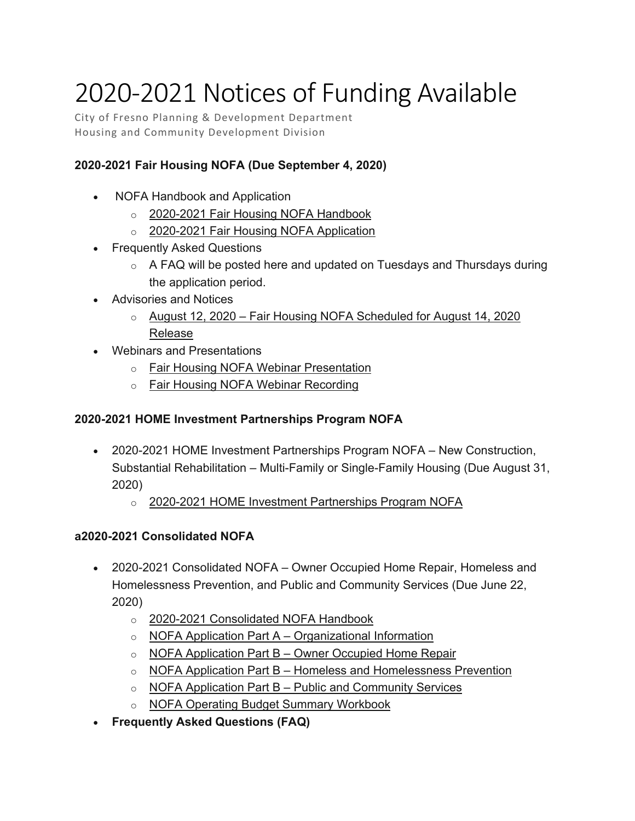## 2020-2021 Notices of Funding Available

City of Fresno Planning & Development Department Housing and Community Development Division

## **2020-2021 Fair Housing NOFA (Due September 4, 2020)**

- NOFA Handbook and Application
	- o [2020-2021 Fair Housing NOFA Handbook](https://www.fresno.gov/darm/wp-content/uploads/sites/10/2020/08/2020-2021-Fair-Housing-NOFA-Handbook.pdf)
	- o [2020-2021 Fair Housing NOFA Application](https://www.fresno.gov/darm/wp-content/uploads/sites/10/2020/08/2020-2021-Fair-Housing-NOFA-Application.docx)
- Frequently Asked Questions
	- $\circ$  A FAQ will be posted here and updated on Tuesdays and Thursdays during the application period.
- Advisories and Notices
	- $\circ$  August 12, 2020 Fair Housing NOFA Scheduled for August 14, 2020 [Release](https://www.fresno.gov/darm/wp-content/uploads/sites/10/2020/08/2020-08-12-NOFA-Advisory.pdf)
- Webinars and Presentations
	- o [Fair Housing NOFA Webinar Presentation](https://www.fresno.gov/darm/wp-content/uploads/sites/10/2020/08/2020-08-Fair-Housing-Webinar-Presentation.pdf)
	- o [Fair Housing NOFA Webinar Recording](https://youtu.be/t21MEV7dRhQ)

## **2020-2021 HOME Investment Partnerships Program NOFA**

- 2020-2021 HOME Investment Partnerships Program NOFA New Construction, Substantial Rehabilitation – Multi-Family or Single-Family Housing (Due August 31, 2020)
	- o [2020-2021 HOME Investment Partnerships Program NOFA](https://www.fresno.gov/darm/wp-content/uploads/sites/10/2020/07/2020-2021-HOME-NOFA-7-17-20.pdf)

## **a2020-2021 Consolidated NOFA**

- 2020-2021 Consolidated NOFA Owner Occupied Home Repair, Homeless and Homelessness Prevention, and Public and Community Services (Due June 22, 2020)
	- o [2020-2021 Consolidated NOFA Handbook](https://www.fresno.gov/darm/wp-content/uploads/sites/10/2020/05/2020-2021-Consolidated-NOFA-Handbook.pdf)
	- $\circ$  NOFA Application Part A [Organizational Information](https://www.fresno.gov/darm/wp-content/uploads/sites/10/2020/05/NOFA-Application-Part-A-Organizational-Information.docx)
	- $\circ$  NOFA Application Part B [Owner Occupied Home Repair](https://www.fresno.gov/darm/wp-content/uploads/sites/10/2020/05/NOFA-Application-Part-B-%E2%80%93-Owner-Occupied-Home-Repair.docx)
	- o NOFA Application Part B [Homeless and Homelessness Prevention](https://www.fresno.gov/darm/wp-content/uploads/sites/10/2020/05/NOFA-Application-Part-B-Homeless-and-Homelessness-Prevention.docx)
	- $\circ$  NOFA Application Part B [Public and Community Services](https://www.fresno.gov/darm/wp-content/uploads/sites/10/2020/05/NOFA-Application-Part-B-Public-and-Community-Services.docx)
	- o [NOFA Operating Budget Summary Workbook](https://www.fresno.gov/darm/wp-content/uploads/sites/10/2020/05/NOFA-Operating-Budget-Summary-Workbook.xlsx)
- **Frequently Asked Questions (FAQ)**